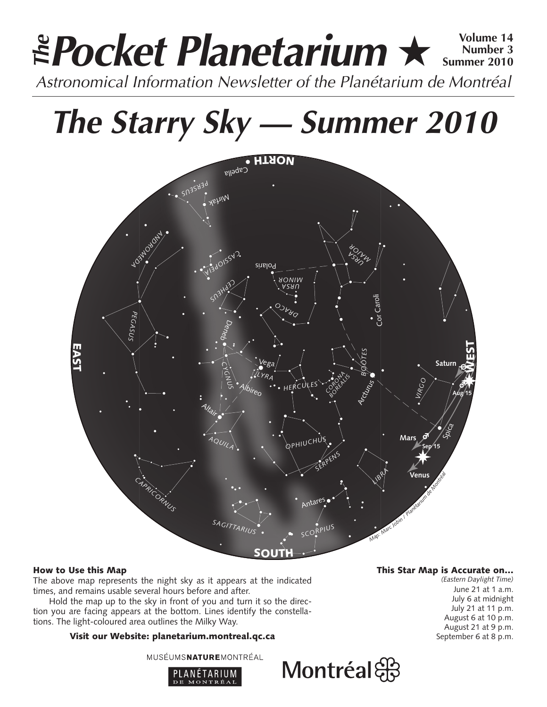# **Pocket Planetarium** ★ **Volume 14** Astronomical Information Newsletter of the Planétarium de Montréal **The Number 3 Summer 2010**

# **The Starry Sky — Summer 2010**



# How to Use this Map

The above map represents the night sky as it appears at the indicated times, and remains usable several hours before and after.

Hold the map up to the sky in front of you and turn it so the direction you are facing appears at the bottom. Lines identify the constellations. The light-coloured area outlines the Milky Way.

# Visit our Website: planetarium.montreal.qc.ca

MUSÉUMSNATUREMONTRÉAL



## This Star Map is Accurate on…

*(Eastern Daylight Time)* June 21 at 1 a.m. July 6 at midnight July 21 at 11 p.m. August 6 at 10 p.m. August 21 at 9 p.m. September 6 at 8 p.m.